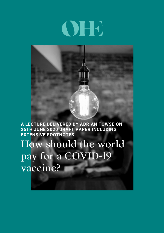# DHE

**A LECTURE DELIVERED BY ADRIAN TOWSE ON 25TH JUNE 2020 DRAFT PAPER INCLUDING EXTENSIVE FOOTNOTES**

How should the world pay for a COVID-19 vaccine?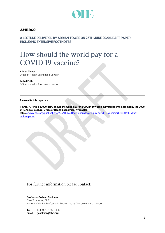

### **JUNE 2020**

**A LECTURE DELIVERED BY ADRIAN TOWSE ON 25TH JUNE 2020 DRAFT PAPER INCLUDING EXTENSIVE FOOTNOTES**

# How should the world pay for a COVID-19 vaccine?

### **Adrien Towse**

Office of Health Economics, London

### **Isobel Firth**

Office of Health Economics, London

### **Please cite this report as:**

**Towse, A. Firth, I. (2020) How should the world pay for a COVID-19 vaccine?Draft paper to accompany the 2020 OHE Annual Lecture. Office of Health Economics. Available: https**[://www.ohe.org/publications/%E2%80%9Chow-should-world-pay-covid-19-vaccine%E2%80%9D-draft](Can%20we%20update%20the%20reference%20on%202nd%20title%20page%20of%20the%20paper%20to:%20Towse,%20A.%20Firth,%20I.%20(2020)%20How%20should%20the%20world%20pay%20for%20a%20COVID-19%20vaccine?Draft%20paper%20to%20accompany%20the%202020%20OHE%20Annual%20Lecture.%20Office%20of%20Health%20Economics.%20Available:%20https://www.ohe.org/publications/%E2%80%9Chow-should-world-pay-covid-19-vaccine%E2%80%9D-draft-lecture-paper)[lecture-paper](Can%20we%20update%20the%20reference%20on%202nd%20title%20page%20of%20the%20paper%20to:%20Towse,%20A.%20Firth,%20I.%20(2020)%20How%20should%20the%20world%20pay%20for%20a%20COVID-19%20vaccine?Draft%20paper%20to%20accompany%20the%202020%20OHE%20Annual%20Lecture.%20Office%20of%20Health%20Economics.%20Available:%20https://www.ohe.org/publications/%E2%80%9Chow-should-world-pay-covid-19-vaccine%E2%80%9D-draft-lecture-paper) 

### For further information please contact:

### **Professor Graham Cookson**

Chief Executive, OHE Honorary Visiting Professor in Economics at City, University of London

**Tel** +44 (0)207 747 1408 **Email gcookson@ohe.org**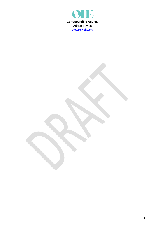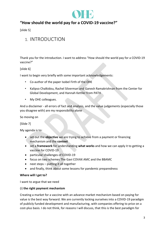

### **"How should the world pay for a COVID-19 vaccine?"**

[slide 5]

## 1. INTRODUCTION

Thank you for the introduction. I want to address "How should the world pay for a COVID-19 vaccine?"

### [slide 6]

I want to begin very briefly with some important acknowledgements:

- Co-author of the paper Isobel Firth of the OHE
- Kalipso Chalkidou, Rachel Silverman and Ganesh Ramakrishnan from the Center for Global Development, and Hannah Kettler from PATH
- My OHE colleagues.

And a disclaimer - all errors of fact and analysis, and the value judgements (especially those you disagree with) are my responsibility alone

So moving on

[Slide 7]

My agenda is to:

- set out the **objective** we are trying to achieve from a payment or financing mechanism and the **context**
- set a **framework** for understanding **what works** and how we can apply it to getting a vaccine for COVID-19
- particular challenges of COVID-19
- focus on two schemes The Gavi COVAX AMC and the BBAMC
- next steps putting it all together
- and finally, think about some lessons for pandemic preparedness

### **Where will I get to?**

I want to argue that we need

### (i) **the right payment mechanism**

Creating a market for a vaccine with an advance market mechanism based on paying for value is the best way forward. We are currently locking ourselves into a COVID-19 paradigm of publicly funded development and manufacturing, with companies offering to price on a cost-plus basis. I do not think, for reasons I will discuss, that this is the best paradigm for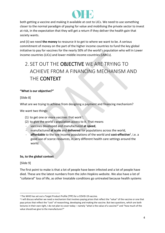

both getting a vaccine and making it available at cost to LICs. We need to use something closer to the normal paradigm of paying for value and mobilising the private sector to invest at risk, in the expectation that they will get a return if they deliver the health gain that society wants.

and (ii) we need **the money** to resource it to get to where we want to be. A serious commitment of money on the part of the higher income countries to fund the key global initiative to pay for vaccines for the nearly 50% of the world's population who will in Lower income countries (LICs) and lower middle income countries (LMICs).

# 2. SET OUT THE OBJECTIVE WE ARE TRYING TO ACHIEVE FROM A FINANCING MECHANISM AND THE CONTEXT

### **"What is our objective?"**

[Slide 8]

What are we trying to achieve from designing a payment and financing mechanism?

We want two things:

- (1) to get one or more vaccines that work<sup>1</sup>;
- (2) to give the world's population access to it. That means
- vaccines developed and manufactured **at speed**,
- manufactured **at scale** and **delivered** for populations across the world,
- **affordable** to the low income populations of the world and **cost-effective**<sup>2</sup> , i.e. a good use of scarce resources, in very different health care settings around the world.

### **So, to the global context**

[Slide 9]

The first point to make is that a lot of people have been infected and a lot of people have died. These are the latest numbers from the John Hopkins website. We also have a lot of "collateral" loss of life, as other treatable conditions go untreated because health systems

<sup>&</sup>lt;sup>1</sup> The WHO has set out a Target Product Profile (TPP) for a COVID-19 vaccine.

<sup>&</sup>lt;sup>2</sup> I will discuss whether we need a mechanism that involves paying prices that reflect the "value" of the vaccine or one that pays prices that reflect the "cost" of researching, developing and making the vaccine. But two questions, which are both lectures in their own right, I do not plan to cover today – namely "what is the value of a vaccine?" and "how much of the value should we give to the manufacturer?"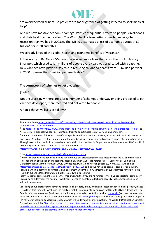

are overwhelmed or because patients are too frightened of getting infected to seek medical help<sup>3</sup>.

And we have massive economic damage. With consequential effects on people's livelihoods, and their health and education. The World Bank is forecasting a much deeper global recession than we had in 2008/9. The IMF has estimated a loss of economic output of \$9 trillion<sup>4</sup> for 2020 and 2021.

We already know of the global health and economic benefits of vaccines<sup>5</sup>.

In the words of Bill Gates "Vaccines have saved more lives than any other tool in history. Smallpox, which used to kill millions of people every year, was eradicated with a vaccine. New vaccines have played a key role in reducing childhood deaths from 10 million per year in 2000 to fewer than 5 million per year today.<sup>6"</sup>

### **The cornucopia of schemes to get a vaccine**

[Slide 10]

Not unsurprisingly, there are a large number of schemes underway or being proposed to get vaccines developed, manufactured and delivered to people.

A non-exhaustive list is as follows<sup>7</sup>

<https://www.ncbi.nlm.nih.gov/pmc/articles/PMC4024226/pdf/rstb20130433.pdf>

<sup>6</sup> Se[e https://www.gatesnotes.com/Health/Pandemic-Innovation](https://www.gatesnotes.com/Health/Pandemic-Innovation)

<sup>3</sup> For example see [https://www.bbc.com/future/article/20200528-why-most-covid-19-deaths-wont-be-from-the](https://www.bbc.com/future/article/20200528-why-most-covid-19-deaths-wont-be-from-the-virus?ocid=ww.social.link.twitter)[virus?ocid=ww.social.link.twitter](https://www.bbc.com/future/article/20200528-why-most-covid-19-deaths-wont-be-from-the-virus?ocid=ww.social.link.twitter)

<sup>&</sup>lt;sup>4</sup> Se[e https://blogs.imf.org/2020/04/14/the-great-lockdown-worst-economic-downturn-since-the-great-depression/](https://blogs.imf.org/2020/04/14/the-great-lockdown-worst-economic-downturn-since-the-great-depression/) The AcceleratingHT proposal we consider later turns this into an estimated loss of \$375 billion per month.

<sup>&</sup>lt;sup>5</sup> Immunization is one of the most cost-effective public health interventions, averting an estimated 2 to 3 million deaths every year. As a direct result of immunization, the world eradicated small pox and is closer than ever to eradicating polio. Through vaccination, deaths from measles, a major child killer, declined by 80 per cent worldwide between 2000 and 2017 preventing an estimated 21.1 million deaths. For a review see

 $7$  Proposals that we have not listed include (i) Patent buy out proposals (from Elias Mossialos for the EU and from Aidan Hollis for a form of the Health Impact Fund, based on Kremer 1998) [add references]. (ii) Yamey et al. Funding the Development and Manufacturing of COVID-19 Vaccines. Duke Global Working Paper 20, April 2020. Available at [https://papers.ssrn.com/sol3/papers.cfm?abstract\\_id=3575660](https://papers.ssrn.com/sol3/papers.cfm?abstract_id=3575660) and (iii) we have also seen proposals for compulsory licensing, which is permitted by international agreement under the TRIPS agreement of 1995 (clarified for use in Public Health In 2001 the Doha Declaration) but there are two big problems:

<sup>(1)</sup> If you license something that you cannot manufacture, then you are no further forward. So proposals for compulsory licensing also suffer from the need for investment in enough global manufacturing capacity that someone is able and willing to supply you

<sup>(2)</sup> Talking about expropriating someone's intellectual property if they invest and succeed in developing a product, makes it less likely that they will invest. And the reality is that IP is not going to be an issue for LICs with COVID-19 vaccines. The People's Vaccine movement (endorsed by traditionally pro-market institutions such as the [World](https://blogs.worldbank.org/health/covid-19-coronavirus-ensuring-fair-global-allocation-vaccines) Bank) are responsive to advocacy demands but multinational pharma companies are [pushing](https://www.statnews.com/pharmalot/2020/05/28/who-voluntary-pool-patents-pfizer/?utm_content=bufferc4721&utm_medium=social&utm_source=twitter&utm_campaign=twitter_organic) back against the idea of pooling intellectual property (IP) for fear of setting a dangerous precedent which will undermine future innovation. The World IP Organization Director General has stated that "Focusing on access to non-existent vaccines, treatments or cures, rather than the [encouragement](https://www.wipo.int/about-wipo/en/dgo/news/2020/news_0025.html) of needed innovation, at this stage, may not only represent a [misunderstanding](https://www.wipo.int/about-wipo/en/dgo/news/2020/news_0025.html) of the sequencing of innovation and access, but also create a [disincentive](https://www.wipo.int/about-wipo/en/dgo/news/2020/news_0025.html) to investment in needed innovation."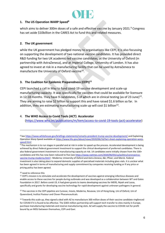

### **1. The US Operation WARP Speed<sup>8</sup>**

which aims to deliver 300m doses of a safe and effective vaccine by January 2021.<sup>9</sup> Congress has set aside \$10billion in the CARES Act to fund this and related measures.

### **2. The UK government**

while the UK government has pledged money to organisations like CEPI, it is also focussing on supporting the development of two national vaccine candidates. It has provided direct R&D funding for two UK academic-led vaccine candidates, at the University of Oxford (in partnership with AstraZeneca), and at Imperial College, University of London. It has also agreed to invest at risk in a manufacturing facility that can be used by AstraZeneca to manufacture the University of Oxford vaccine<sup>10</sup>.

### **3. The Coalition for Epidemic Preparedness (CEPI)<sup>11</sup>**

CEPI launched a call in May to fund covid-19 vaccine development and scale-up manufacturing capacity. It was specifically for vaccines that could be available for licensure in 12-18 months. They have 9 candidates, 5 of which are in clinical testing (as of 23 June) $^{12}$ . They are aiming to raise \$2 billion to support this and have raised \$1.6 billion so far. In addition, they are estimating manufacturing scale up will cost \$1 billion<sup>13</sup>.

### 4. **The WHO Access to Covid Tools (ACT) Accelerator**

[\(https://www.who.int/publications/m/item/access-to-covid-19-tools-\(act\)-accelerator\)](https://www.who.int/publications/m/item/access-to-covid-19-tools-(act)-accelerator)

<sup>8</sup> Se[e https://www.whitehouse.gov/briefings-statements/remarks-president-trump-vaccine-development/](https://www.whitehouse.gov/briefings-statements/remarks-president-trump-vaccine-development/) and Explaining Operation Warp Speed available at [https://www.hhs.gov/about/news/2020/06/16/fact-sheet-explaining-operation-warp](https://www.hhs.gov/about/news/2020/06/16/fact-sheet-explaining-operation-warp-speed.html)[speed.html](https://www.hhs.gov/about/news/2020/06/16/fact-sheet-explaining-operation-warp-speed.html)

<sup>9</sup> The mechanism is to run stages in parallel and at risk in order to speed up the process. Accelerated development is being achieved by direct federal government investment to support the clinical development of preferred candidates. There is also federal government investment in manufacturing capacity at risk. 14 candidates were initially chosen from the 100+ candidates and this has now been reduced to five (se[e https://www.nytimes.com/2020/06/03/us/politics/coronavirus](https://www.nytimes.com/2020/06/03/us/politics/coronavirus-vaccine-trump-moderna.html)[vaccine-trump-moderna.html](https://www.nytimes.com/2020/06/03/us/politics/coronavirus-vaccine-trump-moderna.html) ) Moderna; University of Oxford and Astra Zeneca; J&J; Pfizer; and Merck. Federal investment is also taking place to expand domestic supplies of specialised materials including glass vials. It is unclear what has been agreed in terms of manufacturing and supply commitment by companies receiving funding or if any price or pricing policy has been agreed.

<sup>&</sup>lt;sup>10</sup> need to reference this

<sup>&</sup>lt;sup>11</sup> CEPI's mission is to stimulate and accelerate the development of vaccines against emerging infectious diseases and enable access to these vaccines for people during outbreaks and was developed as a collaboration between WT and Gates Foundation in 2017. Before covid-19, it had given grants to teams developing vaccines for MERS, Nipah and Lassa, specifically and grants for developing vaccine technology for rapid development against unknown pathogens in general.

<sup>&</sup>lt;sup>12</sup> The vaccines in the CEPI pipeline are Curevac, Inovio, Moderna, Novavax, Uni of Hong Kong, Uni of Oxford, Uni of Queensland, Institut Pasteur and Clover Pharamceuticals.

<sup>&</sup>lt;sup>13</sup> Towards this scale up, they signed a deal with AZ to manufacture 300 million doses of their vaccine candidate ringfenced for COVAX if it is found to be effective. The \$383 million partnership will support tech transfer to sites mainly in Europe, purchase manufacturing materials and reserve manufacturing slots. AZ will supply the vaccine to COVAX not for profit bound by an MOU between themselves, CEPI and Gavi.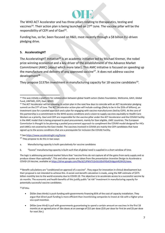

The WHO ACT Accelerator and has three pillars relating to therapeutics, testing and vaccines<sup>14</sup>. Their action plan is being launched on  $27<sup>th</sup>$  June. The vaccine pillar will be the responsibility of CEPI and of Gavi<sup>15</sup>.

Funding has, so far, been focused on R&D, most recently through a \$8 billion EU-driven pledging drive.

### **5. AcceleratingHT**

The AcceleratingHT Initiative<sup>16</sup> is an academic initiative led by Michael Kremer, the nobel prize winning economist and a key driver of the establishment of the Advance Market Commitment (AMC) (about which more later). This AMC initiative is focused on speeding up the manufacture and delivery of any approved vaccine<sup>17</sup>. It does not address vaccine  $d$ evelopment $18$ 

They propose \$137bn investment in manufacturing capacity for 18 vaccine candidates<sup>19</sup>.

<sup>16</sup> Se[e https://www.acceleratinght.org/home](https://www.acceleratinght.org/home)

 $17$  They propose to do this in two ways:

a. Manufacturing capacity is built speculatively for vaccine candidates

b. "Excess" manufacturing capacity is built such that all global need is supplied in a short window of time.

The logic is addressing perceived market failure that "vaccine firms do not capture all of the gains from early supply and so produce slower than optimally". This and other quotes are taken from the presentation *Incentive Design to Accelerate a COVID-19 Vaccine*, available a[t https://drive.google.com/file/d/1JPNiV7LGnSUUDcXY0sK3VdgpJnR2XH2t/view.](https://drive.google.com/file/d/1JPNiV7LGnSUUDcXY0sK3VdgpJnR2XH2t/view) 

18 Benefit calculations are "conditioned on approval of a vaccine". They argue for innovation in clinical development but their proposal is not intended to achieve this. A social cost-benefit calculation is made, using the IMF estimate of \$375 billion monthly loss to the world economy due to COVID-19. The objective is to accelerate access to a successful vaccine by six months. The economic and health benefits of this justify public "at risk" investment in manufacturing capacity for potentially successful vaccine candidates.

<sup>19</sup> Of this:

- \$92bn (two thirds) is push funding with governments financing 85% of the cost of capacity installation. They argue that direct push funding is more efficient than incentivising companies to invest at risk with a higher price via a pull incentive.
- \$45bn (one third) is pull with governments guaranteeing to spend a certain amount on vaccines in the first 18 months at an agreed price of 3bn doses at an average of \$15 per dose (\$35 per dose for first bn and \$5 per dose for next 2bn.)

<sup>&</sup>lt;sup>14</sup> This was initially a platform for collaboration between global health actors (Gates Foundation, Wellcome, GAVI, Global Fund, UNITAID, CEPI, Gavi, WHO)

<sup>&</sup>lt;sup>15</sup> The ACT Accelerator will be releasing its action plan in the next few days to coincide with an ACT Accelerator pledging summit on the 27th of June. The ACT Accelerator action plan will include costings (likely to be in the \$10s of billions), an investment case for a pooled approach and a plan for engaging with vaccine manufacturers (led by CEPI). At the core of this partnership is a commitment to the WHO access conditions and a vision to supply vaccines equitably to Health Care Workers as a priority. Gavi and CEPI are responsible for the vaccine pillar under the ACT Accelerator and the COVAX Facility is the AMC model that is being proposed to pool procurement, mainly for Gavi eligible, LMIC countries. The European Commission is thought to be planning a pooled procurement approach to compliment the COVAX model designed for HICs and UMICs not covered by the Gavi model. The vaccines involved in COVAX are mainly the CEPI candidates that have signed up to the access conditions that are a prerequisite for inclusion the COVAX Facility.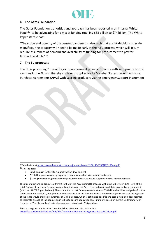

### **6. The Gates Foundation**

The Gates Foundation's priorities and approach has been reported in an internal White Paper<sup>20</sup> to be advocating for a mix of funding totalling \$38 billion to \$74 billion. The White Paper states that:

"The scope and urgency of the current pandemic is also such that at-risk decisions to scale manufacturing capacity will need to be made early in the R&D process, which will in turn require assurances of demand and availability of funding for procurement to pay for finished products."<sup>21</sup>.

### **7. The EU proposals**

The EU is proposing<sup>22</sup> use of its joint procurement powers to secure sufficient production of vaccines in the EU and thereby sufficient supplies for its Member States through Advance Purchase Agreements (APAs) with vaccine producers via the Emergency Support Instrument

<sup>&</sup>lt;sup>20</sup> See the Lance[t https://www.thelancet.com/pdfs/journals/lancet/PIIS0140-6736\(20\)31354-4.pdf](https://www.thelancet.com/pdfs/journals/lancet/PIIS0140-6736(20)31354-4.pdf) <sup>21</sup> This includes:

<sup>•</sup> \$2billion push for CEPI to support vaccine development

<sup>•</sup> \$12 billion push to scale up capacity to manufacture bulk vaccine and package it

<sup>•</sup> \$24 to \$60 billion in grants to cover procurement costs to assure suppliers of LMIC market demand.

The mix of push and pull is quite different to that of the AcceleratingHT proposal with push at between 19% - 37% of the total. No specific proposal for procurement is put forward, but Gavi is the preferred candidate to organise procurement (with the UNICEF Supply Division). The assumption is that "In any scenario, at least \$24 billion should be pledged upfront to send a clear market signal, though it may be disbursed over the next 2-4 years". The White Paper states that the high-end of the range would enable procurement of 5 billion doses, which is estimated as sufficient, assuming a two-dose regimen, to vaccinate enough of the population in LMICs to ensure population-level immunity based on current understanding of the science. The high-end estimate also assumes costs of up to \$10 per dose.

<sup>&</sup>lt;sup>22</sup> EU Strategy for COVID-19 vaccines. Published 17<sup>th</sup> June 2020. Available at [https://ec.europa.eu/info/sites/info/files/communication-eu-strategy-vaccines-covid19\\_en.pdf](https://ec.europa.eu/info/sites/info/files/communication-eu-strategy-vaccines-covid19_en.pdf)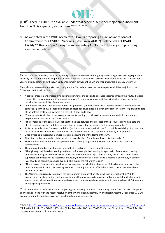

 $(ESI)^{23}$ . There is EUR 2.7bn available under that scheme. A further major announcement from the EU is expected, also on June 27<sup>th</sup>. <sup>24 25 26</sup>

8. As we noted in the WHO Accelerator, Gavi is proposing a Gavi Advance Market Commitment for COVID-19 Vaccines (Gavi Covax AMC<sup>27</sup>). Relabelled a "**COVAX**  Facility<sup>"28</sup> this is a "pull" design complementing CEPI's push funding into promising vaccine candidates.

<sup>23</sup> It also refers to "Adapting the EU's regulatory framework to the current urgency and making use of existing regulatory flexibility to accelerate the development, authorisation and availability of vaccines while maintaining the standards for vaccine quality, safety and efficacy.)" Early engagement between the EMA and manufacturers is already underway.

<sup>24</sup> An alliance between France, Germany, Italy and the Netherlands was seen as a step towards EU-wide joint action. <sup>25</sup> The Joint Action will involve:

- A central procurement process giving all member states the option to purchase vaccines through this route. It avoids competition between member states and increases EU leverage when negotiating with industry. Vaccine policy remains the responsibility of member states.
- Commission will enter into advance purchase agreements (APAs) with individual vaccine manufacturers which will comprise (i) right to buy a specified number of doses at a given price in a given timeframe in return for (ii) funding part of the upfront costs faced by them (via the ESI). It goes on to say:
- These payments will de-risk necessary investments relating to both vaccine development and clinical trials and preparation of at-scale production capacity.
- "The conditions of the contract will reflect the balance between the prospect of the producer providing a safe and effective vaccine quickly and the investment needed to deploy the vaccine on the European market."
- APAs can include other "relevant conditions (such a production capacity in the EU, possible availability of production facilities for the manufacturing of other vaccines or medicines in case of failure, or liability arrangements.) "
- Once a vaccine is successful member states can acquire under the terms of the APA.
- Allocations between member states would be according to a "population -based distribution key."
- The Commission will enter into an agreement with participating member states to formalise their reciprocal commitments.
- The unprecedented circumstances in which the EU finds itself requires a bold response.
- "Though steps will be taken to mitigate the risk for example, by investing in a portfolio of companies covering different technologies - the failure rate of vaccine development is high. There is a very real risk that none of the supported candidates will be successful. However, the value of earlier access to a vaccine is enormous, in terms of lives saved and economic damage avoided. This makes the risk worth taking."
- "This proposed framework is therefore an insurance policy, which transfers some of the risk from industry to the public authorities in return for assuring Member States equitable and affordable access to a vaccine, should one become available."
- The "Commission is ready to support the development and operation of an inclusive international COVID-19 procurement mechanism that facilitates early and affordable access to vaccines and other tools for all who need it across the world. With sufficient scale and scope, such international mechanism could become the world's insurance policy against pandemics.

<sup>26</sup> The Commission also supports voluntary pooling and licensing of intellectual property related to COVID-19 therapeutics and vaccines, in line with the recent resolution of the World Health Assembly (World Health Assembly Resolution 73.1), to promote equitable global access as well as a fair return on investments.

<sup>27</sup> See [\(https://www.gavi.org/news/media-room/gavi-launches-innovative-financing-mechanism-access-covid-19-vaccines\)](https://www.gavi.org/news/media-room/gavi-launches-innovative-financing-mechanism-access-covid-19-vaccines) <sup>28</sup> It has the full title "The COVID-19 Vaccine Global Access Facility". See COVID-19 Vaccine Global Access (COVAX) Facility. Discussion Document 11th June 2020. Gavi.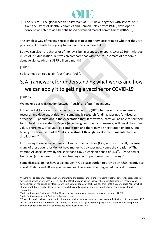

9. **The BBAMC**. The global health policy team at CGD, have, together with several of us from the Office of Health Economics and Hannah Kettler from PATH, developed a concept we refer to as a benefit-based advanced market commitment (BBAMC),

The simplest way of making sense of these is to group them according to whether they are push or pull or both. I am going to build on this in a moment.

But we can also note that a lot of money is being proposed or spent. Over \$230bn. Although much of it is duplication. But we can compare that with the IMF estimate of economic damage alone, which is \$375 billion a month!

[Slide 11]

So lets move on to explain "push" and "pull".

# 3. A framework for understanding what works and how we can apply it to getting a vaccine for COVID-19

[Slide 12]

We make a basic distinction between "push" and "pull" incentives.

In the market for a vaccine in a high income country (HIC) pharmaceutical companies research and develop, at risk, with some public research funding, vaccines for diseases affecting HIC populations in the expectation that, if they work, they will be able to sell them to HIC health care systems. Payers (whether governments or insurers) will buy if they offer value. There may, of course, be competition and there may be negotiation on price. But buying power in the market "pulls" investment through development, manufacture, and distribution.<sup>29</sup>

Introducing these same vaccines to low income countries (LICs) is more difficult, because many of these countries do not have money to buy vaccines. Hence the creation of The Vaccine Alliance, known by the shorthand Gavi, buying on behalf of LICs<sup>30</sup>. Buying power from Gavi (in this case from donors funding Gavi<sup>31</sup>) pulls investment through<sup>32</sup>.

Some diseases do not have a big enough HIC disease burden to provide an R&D incentive to invest. Malaria and TB are good examples. There are other neglected tropical diseases.

 $29$  There will be academic research in understanding the disease, and in understanding whether different approaches to developing a vaccine are possible. This has the effect of reducing the costs of pharmaceutical industry research and development by reducing likely failures, which is a major source of cost. We can think of this as early stage "push" which, although not direct funding (Indeed this research has public good attributes), so potentially reduces costs for all companies.

<sup>30</sup> Add footnote on Gavi origins Global Alliance for Vaccination and Immunisation and role and UNICEF

<sup>&</sup>lt;sup>31</sup> Add footnote on current Gavi replenishment round.

<sup>32</sup> Two other policies have been key: (i) differential pricing, so prices paid are close to manufacturing cost – returns on R&D are obtained from HICs and some MICs and (ii) organising Gavi's procurement programme to reduce the time period between launch in HIC markets and vaccines being available in LICs.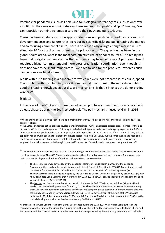Vaccines for pandemics (such as Ebola) and for biological warfare agents (such as Anthrax) also fit into the same economic category. Here we see both "push" and "pull" funding. We can reposition our nine schemes according to their push and pull attributes.

There has been a debate as to the appropriate balance of push (which reduces research and development costs and failure rates, so reducing scientific risk) and pull (creating the market and so reducing commercial risk)<sup>33</sup>. There is no reason why a large enough market will not stimulate R&D risk taking investment by the private sector. The question has been, in the global health arena, what is the most cost-effective use of donor resources? The reality has been that budget constraints rather than efficiency may have held sway. A pull commitment requires a bigger commitment and more cross-organisation coordination, even though it does not have to be spent immediately – we have to wait for the products – whereas push can be done one bit at a time.

A plus with push funding in a pandemic for which we were not prepared is, of course, speed. The problem with push funding, once it goes beyond investment in the early stage public good of creating knowledge about disease mechanisms, is that it involves the donor picking winners<sup>34</sup>.

[Slide 13]

In the case of Ebola<sup>35</sup>, Gavi promised an advanced purchase commitment for any vaccine in at least phase 1 during the 2014-16 outbreak. The pull mechanism used by Gavi in 2016

<sup>35</sup> Development of the Ebola vaccines up to 2014 was led by governments because of the national security concern about the bio-weapon threat of Ebola (1). These candidates where then licensed or acquired by companies. There were three main commercial players at the time of the first outbreak (Merck, Janssen & GSK).

- The Merck vaccine was developed by the Canadian Institute of Public Health in 2007 and the Canadian Government then sold marketing rights to a small biotech (NewLink Genetics) in 2010 (2). Merck then licensed the vaccine from NewLink for \$50 million in 2014 at the start of the West Africa Ebola epidemic (3).

The Janssen vaccine is a prime boost vaccine with first dose (Ad26.ZEBOV) and second dose (MVA-BN-Filo) 8 weeks later. Early development was funded by US NIH. The Ad26 component was developed by Janssen using their AdVac vaccine platform-technology and the second component was based on a different vaccine platformtechnology developed by Bavarian Nordic. It was in pre-clinical development at the start of the West Africa outbreak. In 2015, Janssen committed \$200m and IMI (Innovative Medicines Initiative) committed \$100m to the clinical development, along with other funders e.g. BARDA and US HSS.

All three vaccines were used through emergency-use licences during the 2014-2016 West Africa Ebola outbreak and received substantial funding for clinical trials during the outbreak. The GSK and Merck vaccines were tested in Liberia and Sierra Leone and the WHO and MSF ran another trial in Guinea co-sponsored by the Guinean government and co-funded

<sup>&</sup>lt;sup>33</sup> We can think of this simply as "can I develop a product that works?" (the scientific risk) and "can I sell it if I do?" (the commercial risk).

<sup>&</sup>lt;sup>34</sup> The Gates Foundation set up product development partnerships (PDPs) in neglected disease areas in order for them to develop portfolios of pipeline products<sup>34</sup>. It sought to deal with the product selection challenge by expecting the PDPs to behave as venture capitalists with a social purpose, i.e. build a portfolio of candidates that offered potential. They had the capital at risk and were seeking to leverage the private sector to help deliver value. But the consequence has been some challenges in making sure that products that do get to market are taken up and used by governments, because the emphasis is on "what can we push through to market?" rather than "what do health systems actually want to use?"

The GSK vaccines were initially developed by the US NIH and Okairos which was acquired by GSK in 2013 (4). GSK had 3 candidate Ebola vaccines that were tested in 2013-2016 but GSK licensed their Ebola vaccines to the Sabin Vaccine Institute in August 2019 (4).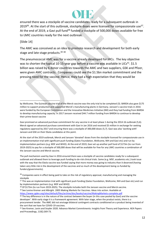

ensured there was a stockpile of vaccine candidates ready for a subsequent outbreak in 2019<sup>36</sup>. At the start of this outbreak, stockpile doses were licensed for compassionate use<sup>37</sup>. At the end of 2019, a Gavi pull fund<sup>38</sup> funded a stockpile of 500,000 doses available for free to LMIC countries ready for the next outbreak.

[Slide 14]

The AMC was conceived as an idea to promote research and development for both early stage and late stage products.<sup>39 40</sup>

The pneumococcal AMC was for a vaccine already developed for HICs. The key objective was to shorten the typical 10-15-year gap before a vaccine was available in LICs<sup>41</sup>. \$1.5 billion was raised by 6 donor countries towards the AMC and two suppliers, GSK and Pfizer, were given AMC contracts. Companies could see the \$1.5bn market commitment and the pressing need for the vaccine. Hence, they had a high expectation that they would be

At the start of the 2019 outbreak, Merck and Janssen 'donated' doses from the stockpile licensed for compassionate use in an implementation trial with significant push funding (Gates Foundation, Wellcome, NIH and Gavi etc) and run by implementation partners (e.g. MSF and WHO). At the end of 2019, Gavi set up another pull fund of \$173m (to run from 2019-2025) to pay for a stockpile of 500,000 doses that will be available for free for any LMIC countries a combination of the Janssen vaccine and Merck vaccine.

The pull mechanism used by Gavi in 2016 ensured there was a stockpile of vaccine candidates ready for a subsequent outbreak and allowed them to leverage push funding to de-risk clinical trials. Some (e.g. MSF, academics etc.) took issue with the way that the Ebola vaccine was funded saying that more money was going to industry than it deserved (having taken very little risk in the development of the vaccines and so much of the development being co-funded by funders/governments).

<sup>36</sup> Companies were in effect being paid to take on the risk of regulatory approval, manufacturing and managing the stockpile

38 Of \$173m (to run from 2019-2025). The stockpile includes both the Janssen vaccine and Merck vaccine. <sup>39</sup> See Levine Kremer and Albright. 2005 Making Markets for Vaccines. Ideas into action. Available at <https://www.cgdev.org/sites/default/files/archive/doc/books/vaccine/MakingMarkets-complete.pdf>

by Wellcome. The Guinean vaccine trial of the Merck vaccine was the only trial to be completed (3). BARDA also gave \$175 million to support production and supported Merck's manufacturing plants in Germany. Janssen's vaccine trials in 2016 were funded by the European Commission and the Innovative Medicines Initiative (IMI) and they had funding from BARDA to develop manufacturing capacity. In 2017 Janssen received \$44.7 million funding from BARDA to continue to develop their prime-boost vaccine

Gavi promised an advanced purchase commitment for any vaccine in at least phase 1 during the 2014-16 outbreak (5,6). Merck signed an advanced purchase commitment with Gavi in Jan 2016 and received \$5 million in exchange for seeking regulatory approval by 2017 and ensuring there was a stockpile of 300,000 doses (5,7). Gavi was also 'working with' Janssen and GSK on their Ebola candidates at this point.

<sup>&</sup>lt;sup>37</sup> This was an implementation trial with significant push funding (Gates Foundation, Wellcome, NIH and Gavi etc) and run by implementation partners (e.g. MSF and WHO)

<sup>&</sup>lt;sup>40</sup> The key difference is in the nature of the contract between the buyer (in this case pooled by Gavi) and the vaccine developer'. With early stage it is a framework agreement. With later stage, when the product exists, there is a procurement tender. The AMC did not envisage bilateral contingent contracts conditioned on a product being invented of the sort that we have for COVID-19 vaccines.

<sup>41</sup> See Kremer, Levin and Snyder 2020. Advance Market Commitments: Insights from Theory and Experience. AEA Papers and Proceedings, 110():269-73.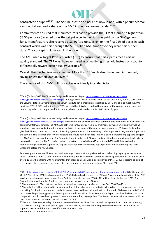contracted to supply<sup>42,43</sup> The Serum Institute of India has now joined, with a pneumococcal vaccine that secured a share of the AMC in the most recent tender<sup>44 45</sup>.

Commitments ensured that manufacturers had to provide the PCV at a price no higher than \$3.50 per dose (referred to as the tail price ceiling) which was paid by the GAVI general fund. Manufacturers also received a \$3.50 'top-up subsidy' on the first 21% of doses in each contract which was paid through the \$1.5 billion AMC fund.<sup>46</sup> So they were paid \$7 per dose. This concept is illustrated in the slide.

The AMC used a Target Product Profile (TPP) to ensure that participants met a certain quality standard. The TPP was, however, used as a qualifying threshold instead of a tool to differentially reward better quality vaccines.<sup>47</sup>

Overall, the mechanism was effective. More than 150m children have been immunised, saving an estimated 700,000 lives<sup>48</sup>.

The essence of this AMC pull concept was originally intended is to:

43 See: (Dalberg 2013 AMC Process Design and Evaluation Report [https://www.gavi.org/our-impact/evaluation](https://www.gavi.org/our-impact/evaluation-studies/pneumococcal-amc-process-and-design)[studies/pneumococcal-amc-process-and-design\)](https://www.gavi.org/our-impact/evaluation-studies/pneumococcal-amc-process-and-design). In the event, the advance purchase commitments (rather than advance market commitments) were limited. The AMC was delivered through price-volume agreements between GAVI and the vaccine suppliers. However, while the price was set, only 6% of the value of the contract was guaranteed. This was designed to give flexibility for countries to opt-out of existing agreements and source through other suppliers if they were brought onto the scheme. This assumed that lower-cost suppliers would have been able to rapidly build manufacturing capacity and join the AMC, which was not the case. The Serum institute in India, took 10 years and considerable support from funders to be in a position to join the AMC. It is also unclear the extent to which the AMC incentivised GSK and Pfizer to develop manufacturing capacity to supply AMC-eligible countries. GSK for example began planning a manufacturing facility in Singapore before the AMC began.

Purchase guarantees would have provided a stronger incentive for suppliers to invest in building capacity as the returns would have been more reliable. In the end, companies were expected to commit to providing hundreds of millions of doses over a 10-year time frame with no guarantee that those contracts would be kept by countries. By guaranteeing so little of the contract, there was only a weak incentive for manufacturing investment from Pfizer and GSK.

<sup>44</sup> (See: [https://www.gavi.org/sites/default/files/document/2018-pneumococcal-amc-annual-reportpdf.pdf\)](https://www.gavi.org/sites/default/files/document/2018-pneumococcal-amc-annual-reportpdf.pdf) By the end of 2019, 17.5% of the AMC funds remained and \$1.238 billion has been given to GSK and Pfizer. Annual production of the PCV vaccines have increased year on year from 7 million doses in the year 2010 to 161 million doses in the year 2019. The Serum Institute will supply 10m doses per annum for each of the next 10 years.

<sup>45</sup> The remaining \$167m that had not been allocated was recently transferred to the Gavi COVAX AMC pot.

46 The tail price ceiling, intended to be an upper limit, initially became the de-facto price as both companies set the price at the ceiling for the first two tender rounds. However there had been price reductions of around 17% below the initial \$3.50 tail price ceiling following pressure from organisations like MSF and Gates Foundation. Experts involved believe that price competition would have been greater if there were more than two suppliers. The Serum Institute price represents a 43 per cent reduction from the initial Gavi tail price of USD 3.50.

47 There was however a quality difference between the two vaccines. The planned co-payment from countries procuring the vaccines through the AMC was dropped. For this reason, most countries requested the Pfizer vaccine as it was the superior vaccine and there was no differential in price to them.

<sup>48</sup> Kremer et al. AEA Papers 2020

<sup>42</sup> See: (Dalberg 2013 AMC Process Design and Evaluation Report [https://www.gavi.org/our-impact/evaluation](https://www.gavi.org/our-impact/evaluation-studies/pneumococcal-amc-process-and-design)[studies/pneumococcal-amc-process-and-design\)](https://www.gavi.org/our-impact/evaluation-studies/pneumococcal-amc-process-and-design). Although a choice was made to allow for a 3<sup>rd</sup> entrant by holding back some of the volume. It took 10 years before the Serum Institute got a product pre-qualified by WHO and able to meet the AMC qualifying TPP. A BCG evaluation from 2015 suggests that this choice to hold back some of the volume sent a conservative demand signal to the companies that in turn may have contributed to the 2012-2014 supply gaps.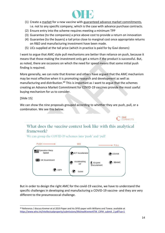

- (1) Create a market for a new vaccine with guaranteed advance market commitments, i.e. not to any specific company, which is the case with advance purchase contracts.
- (2) Ensure entry into the scheme requires meeting a minimum TPP
- (3) Guarantee (to the companies) a price above cost to provide a return on innovation
- (4) Guarantee (to the buyers) a tail price close to marginal cost once appropriate returns on R&D and manufacturing investment have been made.
- (5) LICs supplied at the tail price (which in practice is paid for by Gavi donors)

I want to argue that AMC style pull mechanisms are better than reliance on push, because it means that those making the investment only get a return if the product is successful. But, as noted, there are occasions on which the need for speed means that some initial push finding is required.

More generally, we can note that Kremer and others have argued that the AMC mechanism may be most effective when it is promoting research and development as well as manufacturing and distribution.<sup>49</sup> This is important as I want to argue that the schemes creating an Advance Market Commitment for COVID-19 vaccines provide the most useful buying mechanism for us to consider.

[Slide 15]

We can show the nine proposals grouped according to whether they are push, pull, or a combination. We see this below.

What does the vaccine context look like with this analytical framework?

We can group the COVID-19 schemes into 'push' and 'pull'



But in order to design the right AMC for the covid-19 vaccine, we have to understand the specific challenges in developing and manufacturing a COVID-19 vaccine- and they are very different to the pneumococcal challenge.

**OHE**<br>CONNECTS

<sup>49</sup> Reference / discuss Kremer et al 2019 Paper and his DFID paper with Williams and Towse. available at [https://www.who.int/intellectualproperty/submissions/MichealKremerKTW\\_CIPIH\\_submit\\_2.pdf?ua=1](https://www.who.int/intellectualproperty/submissions/MichealKremerKTW_CIPIH_submit_2.pdf?ua=1)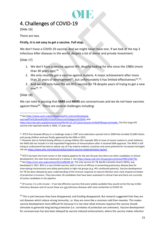

# 4. Challenges of COVID-19

[Slide 16]

There are two.

### **Firstly, it is not easy to get a vaccine. Full stop.**

We don't have a COVID-19 vaccine. And we might never have one. If we look at the top 3 infectious killer diseases in the world, despite a lot of donor and private investment:

[Slide 17]

- 1. We don't have a vaccine against HIV, despite looking for one since the 1980s (more than 30 years ago)  $50$
- 2. We only recently got a vaccine against malaria. A major achievement after more than 20 years of development<sup>51</sup>, but unfortunately it has limited effectiveness<sup>52</sup>.<sup>53</sup>.
- 3. And we still only have the old BCG vaccine for TB despite years of trying to get a new one<sup>54</sup> . 55

### [Slide 18]

We can note in passing that **SARS** and **MERS** are coronaviruses and we do not have vaccines against these<sup>56</sup>. There are several challenges including:

[vaccine#The%20need%20for%20a%20vaccine%20against%20HIV](https://www.avert.org/professionals/hiv-science/developing-vaccine#The%20need%20for%20a%20vaccine%20against%20HIV) and

[https://journals.plos.org/plosone/article/file?id=10.1371/journal.pone.0146387&type=printable.](https://journals.plos.org/plosone/article/file?id=10.1371/journal.pone.0146387&type=printable) The first large HIV vaccine trial reported results in 2003, 17 years ago.

53 RTS'S has been the front-runner in the malaria pipeline for the last 20 years but there are other candidates in clinical development, the next most advanced is in phase 2. Se[e https://www.ncbi.nlm.nih.gov/pmc/articles/PMC3146776/.](https://www.ncbi.nlm.nih.gov/pmc/articles/PMC3146776/) 54 Se[e https://cmr.asm.org/content/33/1/e00100-19.](https://cmr.asm.org/content/33/1/e00100-19) The only vaccine for TB, Bacille Calmette-Guerin (BCG), was developed in 1921. BCG is a very limited vaccine, both in terms of efficacy in preventing pulmonary disease (key for interrupting transmission) and safety particularly in high-risk groups (e.g. HIV coinfected patients). Vaccine development for TB has been delayed by poor understanding of the immune response to natural infection and a lack of good correlates of protection in humans. They have been 20 candidates that have been evaluated in clinical trials and there are currently 14 active candidates in the pipeline.

<sup>55</sup> Of course, it is a bit circular – if we had effective vaccines that were widely available they would not be the top 3 killer infectious diseases and of course these are not infectious diseases with close similarities to COVID-19.

<sup>56</sup> This is part because they have disappeared, and funding disappeared. But research suggested that they are not diseases which induce strong immunity, i.e. they are more like a common cold than measles. This makes vaccine development more difficult for because it is not clear what immune response the vaccine should stimulate to generate long lasting protection (i.e. correlates of protection are unknown). Vaccine development for coronaviruses has also been delayed by vaccine-induced enhancement, where the vaccine makes infection

<sup>50</sup> Se[e https://www.avert.org/professionals/hiv-science/developing-](https://www.avert.org/professionals/hiv-science/developing-vaccine#The%20need%20for%20a%20vaccine%20against%20HIV)

<sup>51</sup> RTS'S first showed efficacy in a challenge study in 1997 and undertook a pivotal trial in 2009 that enrolled 15,000 infants and young children and was finally approved by the EMA in 2015.

<sup>52</sup> However due to limited lasting efficacy in young children (for example 30% of cases of severe malaria in small children), the WHO did not include it in the Expanded Programme of Immunisations after it received EMA approval. The WHO is still trying to understand how best to advise use of it by malaria endemic countries and some potential for increased meningitis risk se[e https://www.who.int/malaria/media/malaria-vaccine-implementation-qa/en/](https://www.who.int/malaria/media/malaria-vaccine-implementation-qa/en/)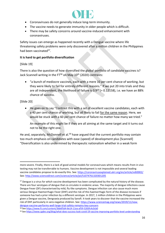

- Coronaviruses do not generally induce long-term immunity.
- The vaccine needs to generate immunity in older people which is difficult.
- There may be safety concerns around vaccine-induced enhancement with coronaviruses.

Safety issues can emerge as happened recently with a Dengue vaccine where life threatening safety problems were only discovered after a million children in the Philippines had been vaccinated<sup>57</sup>.

### **It is hard to get portfolio diversification**

[Slide 19]

There is also the question of how diversified the global portfolio of candidate vaccines is? Jack Scannell writing in the FT<sup>58</sup> on May 10<sup>th</sup> (2020) contrasts:

• "a bunch of mediocre vaccines, each with a mere 10 per cent chance of working, but they were likely to fail for entirely different reasons." If we put 20 into trials and they are all independent, the likelihood of failure is  $0.9^{20}$  (= 0.12158), i.e. we have an 88% chance of success.

[Slide 20]

• He goes on to say "Contrast this with a set of excellent vaccine candidates, each with a 40 per cent chance of working, but all likely to fail for the same reason. Here, we would be stuck with a 60 per cent chance of failure no matter how many we tried."

An example of this might be if they are all aiming at the same target and it turns out not to be the right one.

He and, separately, McDonnell et al.<sup>59</sup> have argued that the current portfolio may contain too much emphasis on candidates with ease (speed) of development plus [Scannell] "Diversification is also undermined by therapeutic nationalism whether in a weak form

more severe. Finally, there is a lack of good animal models for coronaviruses which means results from in vivo testing may not be transferrable to humans. Vaccine development is not impossible and several leading vaccine candidates propose to do exactly this. See:<https://coronavirusexplained.ukri.org/en/article/vdt0002/> See[: http://www.sciencedirect.com/science/article/pii/S1074761320301205](http://www.sciencedirect.com/science/article/pii/S1074761320301205)

<sup>&</sup>lt;sup>57</sup> Dengue is a virus for which vaccine development has been complicated by the natural history of the disease. There are four serotypes of dengue that co-circulate in endemic areas. The majority of dengue infections cause Dengue Fever (DF) characterised by mild, flu-like symptoms. Dengue infection can also cause much more serious Dengue Haemorrhagic Fever (DHF) and the risk of this haemorrhagic form of the disease increases if someone has had a prior infection by a different serotype .In 2017, 1 million children in the Philippines were given a Dengue vaccine, Dengvaxia produced by Sanofi. It took years to discover that the vaccine increased the risk of DHF particularly in sero-negative children. See[: https://www.sciencemag.org/news/2019/11/new](https://www.sciencemag.org/news/2019/11/new-dengue-vaccine-performs-well-large-trial-safety-remains-key-concern)[dengue-vaccine-performs-well-large-trial-safety-remains-key-concern](https://www.sciencemag.org/news/2019/11/new-dengue-vaccine-performs-well-large-trial-safety-remains-key-concern)

<sup>58</sup> Se[e https://www.ft.com/content/3bb6f5d4-8e14-11ea-af59-5283fc4c0cb0](https://www.ft.com/content/3bb6f5d4-8e14-11ea-af59-5283fc4c0cb0)

<sup>59</sup> Se[e https://www.cgdev.org/blog/what-does-success-look-covid-19-vaccine-improving-portfolio-level-understanding](https://www.cgdev.org/blog/what-does-success-look-covid-19-vaccine-improving-portfolio-level-understanding)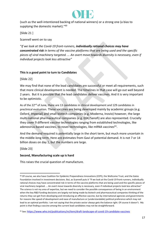

(such as the well-intentioned backing of national winners) or a strong one (a bias to supplying the domestic market)."<sup>60</sup>

[Slide 21 ]

Scannell went on to say

"*If we look at the Covid-19 front-runners, individually rational choices may have concentrated risk in terms of the vaccine platforms that are being used and the specific pieces of viral machinery targeted. ... An overt move towards diversity is necessary, even if individual projects look less attractive"*

### **This is a good point to turn to Candidates**

[Slide 22]

We may find that none of the lead candidates are successful or meet all requirements, such that more clinical development is needed. The timelines in that case will go out well beyond 2 years. But it is possible that the lead candidates deliver vaccines. And it is very important to be optimistic.

As of the 22<sup>nd</sup> of June, there are 13 candidates in clinical development and 129 candidates in preclinical evaluation. These vaccines are being developed mainly by academic groups (e.g. Oxford, Imperial) and small biotech companies (e.g. Moderna, Inovio) however, the large multi-national pharmaceutical companies (e.g. GSK/Sanofi) are also represented. Crucially they cover 9 different vaccine technologies ranging from established technologies, like adenovirus-based vaccines, to novel technologies, like mRNA vaccines<sup>61</sup>.

And the demand required is potentially large in the short term, but much more uncertain in the middle-long term. Here are estimates from Gavi of potential demand. It is not 7 or 14 billion doses on day 1, but the numbers are large.

[Slide 23]

### **Second, Manufacturing scale up is hard**

This raises the crucial question of manufacture.

<sup>&</sup>lt;sup>60</sup> Of course, we also have Coalition for Epidemic Preparedness Innovations (CEPI), the Wellcome Trust, and the Gates Foundation involved in investment decisions. But, as Scannell puts it "If we look at the Covid-19 front-runners, individually rational choices may have concentrated risk in terms of the vaccine platforms that are being used and the specific pieces of viral machinery targeted. … An overt move towards diversity is necessary, even if individual projects look less attractive" The science is not my area of expertise, but we need to consider the possible consequences of being in an environment when the key R&D funding decisions are largely not being made by biotech and pharmaceutical companies thinking of the returns they can get from developing and introducing an effective vaccine, but by international agencies and governments for reasons like speed of development and ease of manufacture or (understandable) political preference which may not lead to an optimal portfolio. I am not saying that the private sector always gets the balance right. Of course it doesn't. My point is that finding a vaccine among the current lead candidates may not be straightforward.

<sup>61</sup> See: <https://www.who.int/publications/m/item/draft-landscape-of-covid-19-candidate-vaccines>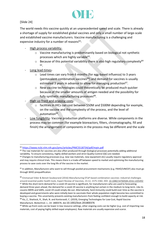

### [Slide 24]

The world needs this vaccine quickly at an unprecedented speed and scale. There is already a shortage of supply for established global vaccines and only a small number of large-scale and established vaccine manufacturers. Vaccine manufacturing is a challenging and expensive industry for a number of reasons $62$ :

- High process variability
	- o Vaccine manufacturing is predominantly based on biological not synthetic processes which are highly variable<sup>63</sup>.
	- $\circ$  Because of this potential variability there is also high regulatory complexity<sup>64</sup> 65 .
- Long lead-times
	- o Lead times can vary from 6 months (for egg-based influenza) to 3 years (pentavalent combination vaccines $66$ ) and demand for vaccines is usually estimated 3 years in advance to allow for managing production<sup>67</sup>.
	- $\circ$  New vaccine technologies could theoretically be produced much quicker because of the smaller amounts of antigen needed and the possibility for fully synthetic manufacturing processes<sup>68</sup>.
- High up-front and ongoing costs
	- o facilities in HICs can cost between \$50M and \$500M depending for example, on the vaccine and the complexity of the process, and the level of automation<sup>69</sup>.
- Low fungibility- Vaccine production platforms are diverse. While components in the process may be common (for example bioreactors, filters, chromatography, fill and finish) the arrangement of components in the process may be different and the scale

<sup>62</sup> <https://www.ncbi.nlm.nih.gov/pmc/articles/PMC5518734/pdf/main.pdf>

 $63$  The raw materials for vaccines are also often produced through biological processes potentially adding additional variability. To ensure consistency, highly skilled workers and strict Quality Control (QC) are needed.

<sup>&</sup>lt;sup>64</sup> Changes to manufacturing processes (e.g. new raw materials, new equipment etc) usually require regulatory approval and may require clinical trials. This means there is a trade-off between speed to market and optimising the manufacturing process to save costs over the long life of the vaccine in the market.

<sup>65</sup> In addition, Manufacturers who want to sell through pooled procurement mechanisms (e.g. PAHO/UNICEF) also must go through WHO prequalification.

<sup>66</sup> Emmanuel Vidor & Benoit Soubeyrand (2016) Manufacturing DTaP-based combination vaccines: industrial challenges around essential public health tools, Expert Review of Vaccines, 15:12, 1575-1582, DOI: [10.1080/14760584.2016.1205492](https://doi.org/10.1080/14760584.2016.1205492) <sup>67</sup> While the short-term demand for a covid-19 vaccine is significant, for manufacturers who are used to forecasting demand three years ahead, the demand for a covid-19 vaccine is anything but certain in the medium to long-term. Like its cousins MERS and SARS, covid-19 could simply die out. Alternatively, herd immunity could build over time as the vaccine is developed and governments who were initially keen to vaccinate their whole population might become less committed to buying a vaccine. This uncertainty prevents existing manufacturers from feeling confident enough to build capacity at risk. <sup>68</sup> Kis, Z., Shattock, R., Shah, N. and Kontoravdi, C. (2019), Emerging Technologies for Low-Cost, Rapid Vaccine Manufacture. Biotechnol. J., 14: 1800376. doi:[10.1002/biot.201800376](https://doi.org/10.1002/biot.201800376)

<sup>&</sup>lt;sup>69</sup> While up-front costs can be lower in low resource settings, other ongoing costs can be higher (e.g. cost of importing raw materials, cost of paying highly skilled expat employees). Raw materials are usually expensive and scarce.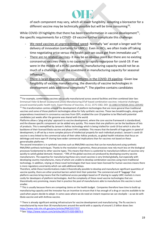of each component may vary, which all lower fungibility. Adapting a bioreactor for a different vaccine may be technically possible but will be time consuming<sup>70</sup>.

While COVID-19 highlights that there has been transformation in vaccine development $^{71}$ , the specific requirements for a COVID -19 vaccine further complicate this challenge:

- We need vaccines at unprecedented speed- Normally 'we' accept a longer wait for delivery of innovation (certainly for LMICs). Even in HICs, we often trade off taking time negotiating price versus the health gain we could get from immediate use<sup>72</sup>.
- There are no related vaccines- it may be an obvious point but there are no existing coronavirus vaccines there is no capacity to rapidly repurpose for covid-19. If we were in the middle of a H1N1 pandemic, manufacturing capacity would not be as much of a challenge given the investment in manufacturing capacity for seasonal influenza<sup>73</sup> .
- There is large diversity of vaccine platforms in the COVID-19 pipeline- Given low fungibility of vaccine manufacturing, the diversity of vaccine technologies in development adds additional complexity<sup>74</sup>. The pipeline contains candidates

 $70$  For example, combination vaccines are usually manufactured across several facilities and then combined later See: Emmanuel Vidor & Benoit Soubeyrand (2016) Manufacturing DTaP-based combination vaccines: industrial challenges around essential public health tools, Expert Review of Vaccines, 15:12, 1575-1582, DOI: [10.1080/14760584.2016.1205492](https://doi.org/10.1080/14760584.2016.1205492) <sup>71</sup> This transformation centres around the development of platform technologies that are more general than traditional vaccines and some of those platform technologies allow for fully synthetic vaccines. These two breakthroughs, along with preparedness investment in coronavirus vaccines from CEPI, enabled the covi-19 pipeline to be filled with potential candidates just weeks after the genome was shared with the world.

Platforms allow a 'plug and play' approach to vaccine development, where the core vaccine framework is standardised, and the disease specific component can be added very quickly. This means that one platform can be the backbone of lots of products. This is exemplified by Janssen's AdVac technology which is being trialled for covid-19 but which is also the backbone of their licensed Ebola vaccine and phase II HIV candidate. This means that the benefit of huge gains in speed of development, is off-set by a more complex picture of intellectual properly for each individual product. Janssen's covid-19 vaccine is very linked to the commercial value of their other AdVac products, so global health initiatives that focus on delinkage and more open IP sharing have wider commercial implications than for vaccines not based on these generalisable platforms.

The second innovation is in synthetic vaccines such as RNA/DNA vaccines that can be manufactured using synthetic RNA/DNA synthesis techniques. Thanks to the revolution in genomics, these processes now rely much less on the biological processes fundamental to other vaccine types. This means that there is a potential to manufacture billions of vaccines very quickly to satisfy global demand. However, ~70% of the global vaccines are produced by developing country vaccine manufacturers. The expertise for manufacturing these very novel vaccines is very limited globally, but especially with developing country manufactures, many of whom are unable to develop combination vaccines using more traditional technology. In addition, relying on these novel technologies that have never been licensed for human vaccines means there is more regulatory uncertainty which can add additional delays.

Therefore, while these transformations make it theoretically possible to develop and manufacture significant quantities of vaccine quickly, there are other practical barriers which limit their potential. The commercial and IP 'baggage' that platform vaccines bring means that the traditional access paradigm based on IP sharing to supply LMIC markets is more costly for developers of platform technologies. And the complexity of these novel vaccine technologies that are theoretically very promising, means that in practice the pool of manufacturers able to manufacture this vaccine is much smaller.

 $72$  This is usually because there are competing claims on the health budget. Companies therefore have time to build up manufacturing capacity and the innovator has an incentive to ensure that it has enough of a drug or vaccine available to be used when payers decide to adopt. In some cases where we do need an instant response we can stockpile – as we do with Ebola vaccine and with Anthrax vaccine.

 $73$  There is already significant existing infrastructure for vaccine development and manufacturing. The flu vaccine is manufactured by more than 30 manufacturers around the world with a capacity of around 1.5 billion doses See: <https://www.ncbi.nlm.nih.gov/pmc/articles/PMC5357707/> <sup>74</sup> See[: https://www.nature.com/articles/d41573-020-00073-5](https://www.nature.com/articles/d41573-020-00073-5)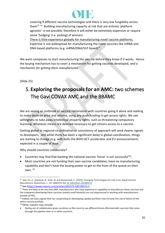

covering 9 different vaccine technologies and there is very low fungibility across them<sup>75 76</sup>. Building manufacturing capacity at risk that are entirely 'platform agnostic' is not possible, therefore it will either be extremely expensive or require some 'hedging' (i.e. picking) of winners.

There is little experience globally for manufacturing novel vaccine platforms. Expertise is not widespread for manufacturing the novel vaccines like mRNA and DNA based platforms (e.g. mRNA/DNA/VLP based)<sup>77</sup>.

We want companies to start manufacturing the vaccine before they know if it works. Hence the buying mechanism has to cover a mechanism for getting vaccines developed, *and a mechanism for getting them manufactured*.

[Slide 25]

# 5. **Exploring the proposals for an AMC:** two schemes The Gavi COVAX AMC and the BBAMC

We are seeing an outbreak of vaccine nationalism with countries going it alone and seeking to make deals on price and volume, using any push funding to get access rights. We see willingness to take away intellectual property rights, such as threatening compulsory licensing. Whatever means are deemed necessary to get citizens access to a vaccine.

Getting global or regional co-ordination or consistency of approach will send clearer signals to developers, and while there has been a significant delay in global coordination, things are starting to change (e.g. with both the WHO ACT accelerator and EU announcements expected in a couple of days.

Why should countries collaborate?

- Countries may find that backing the national vaccine 'horse' is not successful<sup>78</sup>;
- Most countries are not funding their own vaccine candidates, have no manufacturing capability and don't have the buying power to get to the front of the queue on their own. 79

<sup>75</sup> See: Kis, Z., Shattock, R., Shah, N. and Kontoravdi, C. (2019), Emerging Technologies for Low‐Cost, Rapid Vaccine Manufacture. Biotechnol. J., 14: 1800376. do[i:10.1002/biot.201800376](https://doi.org/10.1002/biot.201800376) <sup>76</sup> See[:https://www.nature.com/articles/d41573-020-00073-5](https://www.nature.com/articles/d41573-020-00073-5)

<sup>77</sup> There are likely to be very few LMIC manufacturers who have expertise or capability to manufacture these vaccines and the companies developing these vaccines (mainly small biotechs) are not experienced in working with manufacturers outside of HICs.

 $78$  Indeed, we have argued that not cooperating on developing a global portfolio may increase the risk of failure of the entire vaccine portfolio

 $79$  Other reasons may include:

<sup>•</sup> Opting out of collaboration gives countries no flex room to use different/more effective/safer vaccines that come through the pipeline later or in other countries.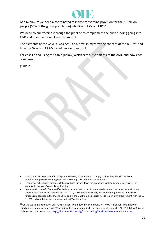

At a minimum we need a coordinated response for vaccine provision for the 3.7 billion people (50% of the global population) who live in LICs or LMICs<sup>80</sup>

We need to pull vaccines through the pipeline to complement the push funding going into R&D and manufacturing. I want to set out:

The elements of the Gavi COVAX AMC and, how, in my view the concept of the BBAMC and how the Gavi COVAX AMC could move towards it.

For ease I do so using this table (below) which sets out elements of the AMC and how each compares.

[Slide 25]

80 Of the world's population 9% (~705 million) live in low-income countries, 40% (~3 billion) live in lowermiddle income countries, 35% (~2.7 billion) live in upper-middle income countries and 16% (~1.2 billion) live in high-income countries. See:<http://data.worldbank.org/data-catalog/world-development-indicators>

<sup>•</sup> Most countries (even manufacturing countries) rely on international supply chains- they de-risk their own manufacturing by collaborating even merely strategically with relevant countries.

<sup>•</sup> If countries act selfishly, measures taken by those further down the queue are likely to be more aggressive, for example in the use of compulsory licensing.

<sup>•</sup> Countries that benefit from, and/ or believe in, international institutions need to show that those institutions are viable in crisis as well as "business as usual" (EU, WHO, World Bank, UN) as a counter argument to (most likely) nationalistic agendas in the US and China and in the UK (the UK's decision not to join in joint procurement with the EU for PPE and ventilators was seen as a political/Brexit choice).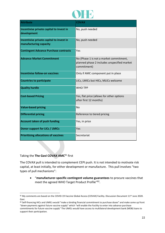

| <b>Attribute</b>                                                   | <b>COVAX</b>                                                                                          |
|--------------------------------------------------------------------|-------------------------------------------------------------------------------------------------------|
| Incentivise private capital to invest in<br>development            | No, push needed                                                                                       |
| Incentivise private capital to invest in<br>manufacturing capacity | No, push needed                                                                                       |
| <b>Contingent Advance Purchase contracts</b>                       | Yes                                                                                                   |
| <b>Advance Market Commitment</b>                                   | No (Phase 1 is not a market commitment,<br>planned phase 2 includes unspecified market<br>commitment) |
| <b>Incentivise follow-on vaccines</b>                              | Only if AMC component put in place                                                                    |
| <b>Countries to participate</b>                                    | LICs, LMICs but HICs, MLICs welcome                                                                   |
| <b>Quality hurdle</b>                                              | <b>WHO TPP</b>                                                                                        |
| <b>Cost-based Pricing</b>                                          | Yes, flat price (allows for other options<br>after first 12 months)                                   |
| <b>Value-based pricing</b>                                         | <b>No</b>                                                                                             |
| <b>Differential pricing</b>                                        | Reference to tiered pricing                                                                           |
| <b>Account taken of push funding</b>                               | Yes, in price                                                                                         |
| <b>Donor support for LICs / LMICs</b>                              | Yes                                                                                                   |
| <b>Prioritising allocations of vaccines</b>                        | Secretariat                                                                                           |

Taking the **The Gavi COVAX AMC**<sup>81</sup> first

The COVAX pull is intended to complement CEPI push. It is not intended to motivate risk capital, at least initially, for either development or manufacture. This pull involves "two types of pull mechanisms":

• "**manufacturer-specific contingent volume guarantees** to procure vaccines that meet the agreed WHO Target Product Profile"82.

<sup>81</sup> My comments are based on the COVID-19 Vaccine Global Access (COVAX) Facility. Discussion Document 11<sup>th</sup> June 2020. Gavi.

<sup>82</sup> Self-financing HICs and UMICs would "make a binding financial commitment to purchase doses" and make some up front "down-payments against future vaccine supply" which "will enable the Facility to enter into advance purchase commitments for future vaccine supply" The UMICs would have access to multilateral development bank (MDB) loans to support their participation.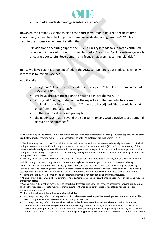

### • "**a market-wide demand guarantee**, i.e. an AMC. <sup>83</sup>

However, the emphasis seems to be on the short term "manufacturer-specific volume guarantee", rather than the longer term "market-wide demand guarantee<sup>84 85</sup>" This is despite the discussion document stating that

"in addition to securing supply, the COVAX Facility intends to support a continued pipeline of improved products coming to market." and that "pull incentives generally encourage successful development and focus on addressing commercial risk."

Hence we have said it is underspecified. If the AMC component is put in place, it will only incentivise follow-on vaccines.

Additionally:

- It is global "all countries are invited to participate<sup>86</sup>" but it is a scheme aimed at LICs and LMICs.
- We have already touched on the need to achieve the WHO TPP
- Pricing will "be negotiated under the expectation that manufacturers seek minimal returns in the near term<sup>"87</sup> [i.e. cost-based] and "there could be a flat price from manufacturers<sup>88</sup>
- So there is no value-based pricing but
- the paper says that " Beyond the near term, pricing would evolve to a traditional tiered pricing approach.<sup>89</sup>"

85 This may reflect the perceived importance of getting investment in manufacturing capacity, which clearly will be easier

<sup>83 &</sup>quot;Which could provide continued incentives and assurances to manufacturers to expand production capacity and to bring products to market meeting e.g. preferred characteristics of the WHO target product profile (TPP)"

<sup>84</sup> The document goes on to say "The pull instrument will be structured as a market-wide demand guarantee, out of which multiple manufacturer-specific volume guarantees will be made. For the initial period (2021-2022), the majority of this market-wide demand guarantee will be issued as volume guarantees on specific products to individual suppliers. For the later phase (after 2022), it is expected that the majority of the guarantee would remain unallocated, allowing introduction of improved products over time."

with bilateral guarantees to buy certain volumes but it neglects the need to get more candidates coming through. <sup>86</sup> It is "a risk management mechanism" designed to allow countries "to enter a joint pool for securing and procuring vaccine doses" and "reducing risk for manufacturers concerned about investing without assured demand." The working assumption is that some countries will have bilateral agreements with manufacturers. But these candidates may fail. Access to the Facility would come on top of bilateral agreements for both countries and manufacturers.

<sup>87</sup> "Being part of a pool …would bring countries more sustainable vaccine prices, thanks to economies of scale and reduced transaction prices."

<sup>88 &</sup>quot;with a cross-subsidisation mechanism to establish differential pricing for countries to account for varying ability to pay. The Facility may accommodate manufacturer requests for tiered pricing if the price levels offered for each tier are considered appropriate."

<sup>89</sup> "the Facility will adopt the following **pricing principles**:

<sup>•</sup> Vaccine prices may reflect **the range of cost of goods (COGS), vaccine profiles, developer and manufacturer profiles**, levels of **support received and risk incurred** during development.

<sup>•</sup> Vaccine prices may reflect different **time periods in the disease evolution and associated variations in market conditions and commercial opportunity**. This acknowledges the broad willingness from suppliers to consider the vaccine as a global public good in the short-term, to meet global requirements for priority populations, and to evolve later to a more market-based approach. Given the pressing public health need, it is expected that manufacturers would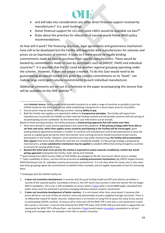

- and will take into consideration any other direct financial support received by manufacturers" (i.e. push funding).
- Donor financial support for LICs and some LMICs would be available via Gavi<sup>90</sup>.
- Rules about the priorities for allocation of vaccine would follow WHO policy recommendations.

So how will it work? The financing structure, legal agreements and governance mechanism have still to be developed but the Facility will negotiate with manufacturers for volumes and prices via an Expression of Interest. It looks as if there would be legally binding commitments made by Gavi to purchase from specific manufacturers. These would be backed by commitments made to Gavi by purchasers such as UNICEF, PAHO and individual countries<sup>91</sup>. It is possible that the EU could be another regional grouping operating under the scheme. However, it does not create a market. To do this Gavi would need to be guaranteeing an overall market size given the country commitments on its "book", not making large contingent volume commitments to each individual manufacturer.

Additional comments are set out in a footnote to the paper accompanying this lecture that will be available on the OHE website <sup>92</sup>.

- Vaccine prices may be tiered, reflecting countries' varying **ability to pay**.
- Both the Facility and suppliers are expected to adhere to **transparency principles**. The Facility will expect from manufacturers to provide full visibility on other external funding received and will provide countries with the pricing of all participating vaccine candidates' (to the extent that such information can be shared).
- Based on these pricing principles, the Facility proposes a **mixed pricing approach that will evolve over time**: • Short-term period to reach priority populations and control the pandemic: **A flat pricing strategy (with firms able to set their own price, which then applies across countries participating in the Facility) will be encouraged**, given existing bilateral agreements between a number of countries and manufacturers and broad expectations to price the vaccine as a global good during the short-term period. Such a pricing structure should incentivize broad country participation in the Facility. However, some manufacturers may prefer tiered pricing; **the Facility will accommodate that request** if the price levels offered for each tier are considered suitable. If a flat pricing strategy is proposed by manufacturers, **a cross-subsidization mechanism may be applied** to establish differential pricing charged to countries to account for varying ability to pay.

• **Beyond this initial short-term period, the market is expected to evolve towards a traditional, market-led, tiered pricing approach** (noting that the Facility, itself, will be time-limited).

90 Seed funding from OECD country ODAs of USD \$500m was pledged at the 4th June launch. Much more is needed. <sup>91</sup> "Upon availability of doses, vaccines will be procured via **existing procurement mechanisms** (eg UNICEF Supply Division, PAHO Revolving Fund, EC, individual country procurement mechanisms)." It is not clear what this means, but it may mean that these groupings agree the commitments on behalf of their members and are legally responsible to Gavi for honouring them.

92 Challenges with the COVAX Facility are:

- 1. **It does not incentivise development.** It assumes that the push funding model via CEPI (and others) can deliver a vaccine of the required quality. According to Annex D, the CEPI worst case scenario is that one vaccine hits the target. With 9 candidates, 1/9 is over a 10% probability of success which i[s twice](https://www.nber.org/papers/w27176.pdf) what a recent NBER paper calculated that public sector push has achieved in previous emerging infectious disease research investments.
- 2. **It does not incentivise development of better vaccines.** It is cost-based rather than value-based. It assumes that prices will be at cost even if they are tiered in some way (presumably around a weighted average cost price). There is no differential reward for better vaccines. Indeed there is no mention of using HTA to assess the value of any vaccine to participating COVAX countries. As long as (all or some part of) the WHO TPP is met then a cost-based price is paid. But success is not linear. A vaccine that achieved the WHO TPP lower end of 50% efficacy (and which is apparently not necessarily the WHO TPP's efficacy floor—see footnote [3 here\)](https://www.who.int/blueprint/priority-diseases/key-action/WHO_Target_Product_Profiles_for_COVID-19_web.pdf) would requir[e unrealistic](https://www.medrxiv.org/content/10.1101/2020.05.29.20117184v1) assumptions re roll out timing and coverage rates, for example in the USA, to achieve immunity.

seek **minimal returns**. Such a model could provide incentives to as wide a range of countries as possible to join the COVAX Facility for the short-term period, while establishing a blueprint for a future lower price for LICs/LMICs.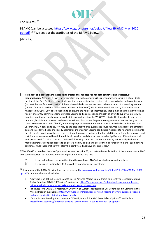

### **The BBAMC <sup>93</sup>**

BBAMC (can be accessed [https://www.cgdev.org/sites/default/files/BB-AMC-May-2020](https://www.cgdev.org/sites/default/files/BB-AMC-May-2020-ppt.pdf) [ppt.pdf](https://www.cgdev.org/sites/default/files/BB-AMC-May-2020-ppt.pdf) ) <sup>94</sup> We set out the attributes of the BBAMC below.

[slide 27]

3. **It is not at all clear that a market is being created that reduces risk for both countries and (successful) manufacturers.** Although it takes the pragmatic view that countries will sign manufacturer specific bilateral deals outside of the Gavi Facility, it is not at all clear that a market is being created that reduces risk for both countries and (successful) manufacturers outside of these bilateral deals. Instead we seem to have a series of bilateral agreements (termed "advance purchase commitments with manufacturers") within a framework set out by Gavi and at prices negotiated by Gavi. Gavi does not seem to be playing the role of an intermediary that is making a market by holding a "book" of country commitments to purchase vaccine and a corresponding "book" of offers to supply volumes with timelines, contingent on obtaining a product licence and meeting the WHO TPP criteria. Holding a book may be the intention, but it is not conveyed in the text as written. Gavi should be guaranteeing an overall market size given the country commitments on its "book", not making large volume commitments to each individual manufacturer. Not unsurprisingly it goes on to say ""it may be the case that volume guarantees cover volumes in excess of the targeted demand in order to hedge the Facility against failure of certain vaccine candidates. Appropriate financing instruments or risk transfer solutions will need to be considered to ensure that no unfunded liabilities arise from this approach and that financial losses would be minimised should vaccine candidate success rates be significantly different from their anticipated levels." It also states that "Fully self- financing countries that join the Facility before early deals with manufacturers are concluded (date to be determined) will be able to access the ring-fenced volume for self-financing countries, while those that commit after this point would not have this assurance."

93 The BBAMC is based on the MVAC proposed for new drugs for TB, and in turn is an adaptation of the pneumococcal AMC with some important adaptations, the most important of which are that:

- (i) It uses value-based pricing rather than the cost-based AMC with a single price and purchaser.
- (ii) It is designed to stimulate R&D (as well as manufacturing) investment

94 A summary of the BBAMC in slide form can be accesse[d https://www.cgdev.org/sites/default/files/BB-AMC-May-2020](https://www.cgdev.org/sites/default/files/BB-AMC-May-2020-ppt.pdf) [ppt.pdf](https://www.cgdev.org/sites/default/files/BB-AMC-May-2020-ppt.pdf) ) . Additional material includes:

- "Leave No One Behind: Using a Benefit-Based Advance Market Commitment to Incentivise Development and Global Supply of COVID-19 Vaccines" available at [https://www.cgdev.org/publication/leave-no-one-behind](https://www.cgdev.org/publication/leave-no-one-behind-using-benefit-based-advance-market-commitment-covid-vaccine)[using-benefit-based-advance-market-commitment-covid-vaccine](https://www.cgdev.org/publication/leave-no-one-behind-using-benefit-based-advance-market-commitment-covid-vaccine)
- "The Race for a COVID-19 Vaccine: An Overview of Current Proposals and Our Contribution in Bringing in the Missing Middle" available at [https://www.cgdev.org/blog/race-covid-19-vaccine-overview-current-proposals](https://www.cgdev.org/blog/race-covid-19-vaccine-overview-current-proposals-and-our-contribution-bringing-missing-middle)[and-our-contribution-bringing-missing-middle](https://www.cgdev.org/blog/race-covid-19-vaccine-overview-current-proposals-and-our-contribution-bringing-missing-middle)
- "In the Race to Develop A Vaccine For COVID-19, Is A Pull For R&D Essential Or Optional?" available at <https://www.cgdev.org/blog/race-develop-vaccine-covid-19-pull-rd-essential-or-optional>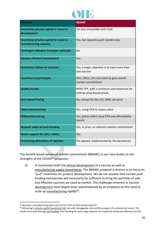

| <b>Attribute</b>                                                   | <b>BBAMC</b>                                                          |
|--------------------------------------------------------------------|-----------------------------------------------------------------------|
| Incentivise private capital to invest in<br>development            | Yes but compatible with Push                                          |
| Incentivise private capital to invest in<br>manufacturing capacity | Yes, but separate push needed also                                    |
| <b>Contingent Advance Purchase contracts</b>                       | <b>No</b>                                                             |
| <b>Advance Market Commitment</b>                                   | Yes                                                                   |
| Incentivise follow-on vaccines                                     | Yes, a major objective is to have more than<br>one vaccine            |
| <b>Countries to participate</b>                                    | HICs, MICs, LICs (via Gavi) to give overall<br>market commitment      |
| <b>Quality hurdle</b>                                              | WHO TPP, with a minimum and maximum for<br>setting value-based prices |
| <b>Cost-based Pricing</b>                                          | No, except for the LIC/ LMIC tail-price                               |
| <b>Value-based pricing</b>                                         | Yes, using HTA to assess value                                        |
| <b>Differential pricing</b>                                        | Yes, prices reflect local HTA and affordability<br>results            |
| <b>Account taken of push funding</b>                               | Yes, in price, or reduced volume commitment                           |
| <b>Donor support for LICs / LMICs</b>                              | Yes                                                                   |
| <b>Prioritising allocations of vaccines</b>                        | Pre-agreed, implemented by the Secretariat                            |

The benefit-based advanced market commitment (BBAMC) in our view builds on the strengths of the COVAX<sup>95</sup> proposals:

(i) It incentivises both the clinical development of a vaccine as well as manufacturing supply investments. The BBAMC proposal is distinct in its focus on "pull" incentives for product development. We do not assume that current push funding mechanisms will necessarily be sufficient to bring the portfolio of safe and effective vaccines we need to market. The challenges inherent in vaccine development have largely been overshadowed by an emphasis on the need to scale up manufacturing rapidly<sup>96</sup>.

<sup>95</sup> And also a manufacturing push such as from CEPI or from Accelerating HT

<sup>96</sup> Attracting in private capital invested at-risk, but with manageable risk and the prospect of a commercial return. This needs to be done through pull funding. Push funding for early stage research can indeed be cheap and efficient; but the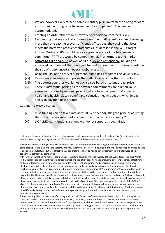

- (ii) We are however likely to need complementary push investment to bring forward at risk manufacturing capacity investment by companies<sup>97</sup>. This can be accommodated.
- (iii) Creating an AMC rather than a network of conditional contracts is key.
- (iv) Recognising that we are likely to need a number of different vaccines. Assuming more than one vaccine proves sufficiently efficacious, the vaccine that best meets the preferred product characteristics (as detailed in the WHO Target Product Profile or TPP) would receive a greater share of the total revenue commitment<sup>98</sup>. There would be competition, as in a normal vaccine market.
- (v) Attracting HICs and MICs as well as LICs is key and not optional, building an advanced commitment that is not just funded by donor aid. This brings clarity on the size of a very uncertain overall global market.
- (vi) Using the TPP as an entry requirement, plus a basis for assessing value is key.
- (vii) Rewarding companies with prices that reflect value rather than cost is key.
- (viii) The poorest countries would not pay a value-based price but the tailprice.
- (ix) There is differential pricing as the advance commitments are built on value assessments done by national payers that are based on products' expected health and health related benefit and countries' health budgets which impact ability to pay for a new product.

As with the COVAX Facility

- (x) Push funding can be taken into account by either adjusting the price or adjusting the size of the advance market commitment made by the country<sup>99</sup>.
- (xi) LIC / LMIC contributions are met with donor support through Gavi.

costs and risks grow for funders. There is also a risk of funders pursuing the sunk costs fallacy - "we've paid for it so far, let's just keep going" leading to "we paid for it to be developed so now we ought to buy and use it."

<sup>97</sup> We need manufacturing capacity to be built at risk. This can be done through a higher price for early entry. But this risks complicating setting a VBP for the vaccine, and may incentivise accelerated development and introduction of a vaccine that is easier to manufacture, but less effective. We are therefore likely to need push investment to bring forward at risk capacity investment by companies.

<sup>98</sup> In terms of target performance, companies are working towards the fairly widely defined WHO Target Product Profile (TPP), without explicit incentives to address market or population specific needs, including differential safety, effectiveness and cost-effectiveness of different vaccine profiles in different populations and geographies. But such performance attributes may well make all the difference in how quickly and effectively we can control the pandemic. The BBAMC mechanism would allow inclusion of more than one product meeting minimal TPP requirements. Provision will be made for a product offering more suitable characteristics for implementation in different contexts and populations. It also takes account of the likelihood that the first vaccine to get a product license may not meet all needed criteria (in terms of overall efficacy, or method of administration or safety) and multiple vaccines may ultimately be necessary to address challenges of efficacy and tolerability in sub populations or to address field conditions. The value assessment element of the BBAMC allows for the same product or indeed different products to command different prices and hence market share across different country contexts and epidemiological realities as they may meet local needs at differing levels (perhaps because of a differential safety profile; their effect on younger vs elderly multi-morbid populations; the need for cold chain; or administration complexity).

 $99$  Push funding (R&D push or manufacturing push or both) for successful vaccine candidates only could count against a countries market commitment. Governments backing the wrong candidates have not partially met their commitment. It does not count. This will add to the incentive for governments to choose carefully and also to consider cross-government collaboration. Alternatively, early R&D push and early manufacturing push are taken into account in the arrangements for locking in value ex ante. This is an area that will need further discussion, but which can in principle be incorporated in a BBAMC.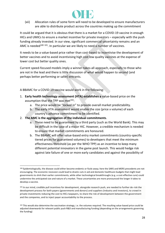

(xii) Allocation rules of some form will need to be developed to ensure manufacturers are able to distribute product across the countries making up the commitment

It could be argued that it is obvious that there is a market for a COVID-19 vaccine in enough HICs and UMICs to ensure a market incentive for private investors – especially with the push funding already invested. In our view, significant commercial uncertainty remains and an AMC is needed<sup>100 101</sup>. In particular we are likely to need a number of vaccines.

It needs to be a value-based price rather than cost-based to incentivise the development of better vaccines and to avoid incentivising high cost low quality vaccines at the expense of lower cost but better quality ones.

Current speed-focused models imply a winner-takes-all approach, especially to those who are not in the lead and there is little discussion of what would happen to second (and perhaps better performing or safer) entrants.

A BBAMC for a COVID-19 vaccine would work in the following:

- 1. **Early health technology assessment (HTA) establishes a** value-based price on the assumption that the TPP was met $102$ :
	- a. The price would be "locked in" to provide overall market predictability.
	- b. The early HTA assessment would enable the size (price x volume) of each country's advance commitment to be identified.
- 2. **The AMC is the aggregation of the individual commitments**.
	- a. These need to be guaranteed by a third party (such as the World Bank). This may be difficult in the case of a major HIC. However, a credible mechanism is needed to ensure that market commitments are honoured.
	- b. The BBAMC will offer value-based entry market commitments (country-specific tiered prices for guaranteed volumes) to developers that meet the minimum effectiveness threshold (as per the WHO TPP) as an incentive to keep many different potential innovators in the game post launch. This would hedge risk against late failure of one or more early candidates and against the possibility of

<sup>100</sup> Epidemiologically, the disease could either become endemic or fizzle away; here the SARS and MERS precedents are not encouraging. The economic recession could lead to drastic cuts in aid and domestic healthcare budgets that might lead governments to shirk their earlier commitments, while other technological breakthroughs (e.g. a cost-effective cure) could undermine the anticipated size and nature of a market. These uncertainties are more pronounced the longer it takes to develop a vaccine.

<sup>101</sup> In our mind, credible pull incentives for development, alongside research push, are needed to further de-risk the development process for both payers (governments and donors) and suppliers (industry and investors), to crowd in private investments reducing the cost to HICs taxpayers, to share the risk of development between the government and the companies, and to inject payer accountability to the process.

<sup>102</sup> This would also determine the vaccination strategy, i.e. the volumes required. The resulting value-based price could be adjusted downwards for relevant public push R&D and manufacturing funding (depending on the arrangements governing the funding)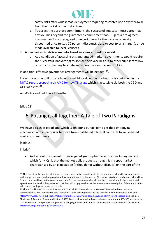

safety risks after widespread deployment requiring restricted use or withdrawal from the market of the first entrant.

- c. To access the purchase commitment, the successful innovator must agree that any volumes beyond the guaranteed commitment pool—up to a pre-agreed maximum or for a pre-agreed time period—will either receive a heavily discounted price (e.g., a 70 percent discount), close to cost (plus a margin), or be made available to local licensees.
- 3. **A mechanism to deliver manufactured vaccines around the world**:
	- a. As a condition of accessing this guaranteed market, governments would require the successful innovator(s) to license their vaccines out to other suppliers at low or zero cost, helping facilitate widespread scale-up across to LICs.

In addition, effective governance arrangements will be needed<sup>103</sup>.

I don't have time to illustrate how this might work in practice but this is contained in the [MVAC report proposing an AMC for new TB drugs](https://www.cgdev.org/sites/default/files/MVAC-Blueprint-Final_2.pdf) which is accessible via both the CGD and OHE websites<sup>104</sup>.

so let's try and pull this all together

[slide 28]

# 6. Putting it all together: A Tale of Two Paradigms

We have a clash of paradigms which is inhibiting our ability to get the right buying mechanism and in particular to move from cost-based bilateral contracts to value-based market commitments.

[Slide 29]

In brief:

• As I set out the current business paradigm for pharmaceuticals including vaccines which for HICs, is that the market pulls products through. It is a spot market characterised by an expectation (although not without dispute) on the part of the

 $103$  There are four key parties, (i) the governments who make commitments (ii) the guarantor who will sign agreements with the governments and so provide credible commitments to the market) (iii) the secretariat / coordinator , who will be funded by a small levy on the governments and (iv) the developers who will register to participate in the scheme and agree (in contracts with the guarantor) that they will supply vaccines at the pre-set value-based price. Subsequently they will contract with governments to do this.

<sup>104</sup> This is Chalkidou K, Garau M, Silverman, R M, et al. 2020 blueprint for a Market-Driven value-based advance commitment (MVAC) for tuberculosis. Center for Global Development and the Office of Health Economics. Available: <https://www.cgdev.org/publication/blueprintmarket-driven-value-based-advance-commitment-tuberculosis> See also Chalkidou K, Towse A, Silverman R, et al. (2020). Market-driven, value-based, advance commitment (MVAC): accelerating the development of a pathbreaking universal drug regimen to end TB. BMJ Global Health 2020;5:e002061. available at <https://gh.bmj.com/content/5/4/e002061>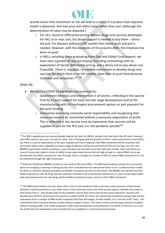

private sector that investment at risk will lead to a return if a product that improves health is delivered. And that price will reflect value rather than cost. (Although the determination of value may be disputed.)

- o For LICs, tiered or differential pricing delivers drugs and vaccines developed for HICs at or near cost, but donor support is needed to buy them – donor led-pull. For diseases without a HIC market then donor push and pull is needed. However, with the exception of the pneumo-AMC, the emphasis has been on push.
- $\circ$  In MICs, including those graduating from Gavi and Global Fund support, we have seen a growth of spot purchasing (including contracting) with an expectation of tiered/ differential pricing, and a desire not to pay above cost if possible. There is, arguably, no credible mechanism to develop drugs and vaccines for which there is no HIC market, other than to push fund domestic institutes and companies.<sup>105</sup> <sup>106</sup>

### [Slide 30]

- We are in a COVID-19 paradigm characterised by:
	- Government direction and intervention in all sectors, reflecting in the vaccine hunt by (i) push support for early and late stage development and (ii) for manufacturing with (iii) contingent procurement options as part payment for the push funding.
	- Companies exercising corporate social responsibility and recognising that resources need to be committed without a necessary expectation of profit. This is reflected in the vaccine hunt by statements that vaccines will be supplied at cost for the first year (i.e. the pandemic period) $^{107}$ .

<sup>105</sup> For MICs arguably we are moving (slowly) towards (at least for UMICs) markets that look more like HIC ones. However, most MICs want to pay costs, not pay for value. This is changing with the growth of HTA or value assessment in many MICs, but there is a lack of expectation on the part of global and local companies that R&D investment will be rewarded with prices that reflect value. Arguably we need a stage of advance market commitments of the sort we have set out in the BBAMC to get these markets working in a way that they can transition to an HIC style spot market. There will still be an issue of income per capita in terms of ability to pay value-based prices that are high enough to reward R&D, but as we showed with the MVAC proposal for new TB drugs, there is enough of a market in MICs to reward R&D investment if it can be mobilised through the right mechanism.

<sup>106</sup> Both the COVAX and BBAMC involve (or can involve) HICs and UMICs. The R&D based industry will be very concerned about encouraging a new way of doing business that could become the new normal which is not a viable business model for them to research, develop and deliver profitable innovative vaccines for the future. The BBAMC was derived from the MVAC proposal for new TB drugs and was explicitly intended to be a transitional mechanism to a spot market where MICs paid value-based prices for new drugs which enabled companies to get a return on their R&D investment.

<sup>&</sup>lt;sup>107</sup> The R&D based industry are very aware that in the current pandemic with economies under pressure, all businesses (whether in pharmaceuticals or any other sector of the economy) have to do what society expects, whether they make or lose money from it. And society looks to the academic science base and to the private sector industries' research and development skills for treatments and vaccines to tackle COVID-19. Hence the substantial investments being made and the statements from a number of R&D-based companies that they will supply, at least initially, on a "not-for-profit" basis. This commitment has to be time limited, private investors expect a return. The sector cannot commit large amounts of capital without making profits. One model proposed is that initial development and production of a COVID-19 vaccine is on a notfor-profit basis but subsequent years of production are supplied on a normal commercial basis.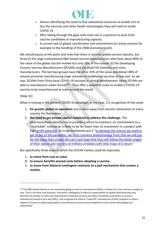

- o Donors identifying the need to find substantial resources to enable LICs to buy the vaccines and other health technologies they will need to tackle COVID-19
- o MICs falling through the gaps with most not in a position to push fund vaccine candidates or manufacturing capacity.
- $\circ$  A current lack of global coordination and commitment (in sharp contrast for example to the handling of the 2008 economic crash).

We should pause at this point and note that there is not one global vaccine industry, but three (i) the large multinational R&D-based vaccine manufacturers who have about 80% of the value of the global vaccine market but only 20% of the volume (ii) the Developing Country Vaccine Manufacturers (DCVMs) and (iii) small HIC biotechs and niche manufacturers. The last two groups have the other 20% of the value and deliver 80% of volume primarily manufacturing large volumes of established vaccines at low cost. As we saw, DCVMs from China have COVID-19 vaccines in clinical development. Many DCVMs are able to manufacture under license<sup>108</sup>. They offer a potential route to enable a COVID-19 vaccine to be manufactured at scale around the world.

### [Slide 31]

What is missing in the present COVID-19 paradigm, in my view, is a recognition of the need:

- 1. **for greater global co-operation** and a move away from vaccine nationalism or every country for themselves.
- 2. **the need to get private capital mobilised to address the challenge.** The pharmaceutical industry has to provide a return to investors; its commitment to a "charitable" enterprise is likely to be far lower than its investment in a project with high profit [potential](https://www.washingtonpost.com/opinions/2020/05/18/beware-underpriced-drugs-covid-19-treatments/). As Craig Garthwaite put it "to [develop](https://www.washingtonpost.com/opinions/2020/05/18/beware-underpriced-drugs-covid-19-treatments/) the science we need to get us out of the pandemic, we must convince [biotechnology](https://www.washingtonpost.com/opinions/2020/05/18/beware-underpriced-drugs-covid-19-treatments/) firms that we will pay for the value they [create.](https://www.washingtonpost.com/opinions/2020/05/18/beware-underpriced-drugs-covid-19-treatments/) We can't just hope that they will follow the better angels of their nature and risk tens of [millions](https://www.washingtonpost.com/opinions/2020/05/18/beware-underpriced-drugs-covid-19-treatments/) of dollars with little hope of a return."

But specifically three ways in which the COVAX Facility could be improved.

- 1. **to move from cost to value**
- **2. to ensure benefits exceed costs before adopting a vaccine**
- 3. **to move from bilateral contingent contracts to a pull mechanism that creates a market**,

<sup>&</sup>lt;sup>108</sup> The R&D based industry is not necessarily going to want to manufacture billions of doses of a new vaccine to supply at cost. That is not their core business. Innovators' willingness to take-on responsibility for global manufacturing may therefore be limited, so they may well welcome initiatives by Gavi and Gates Foundation and others to invest in manufacture aimed at LICs and LMICs, and recognise the need to "hand-off" manufacture of their products to others, subject of course to addressing quality of manufacture concerns and competitive issues (some technologies are proprietary).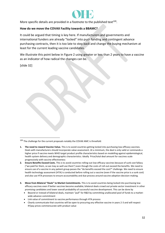

More specific details are provided in a footnote to the published text $109$ .

### **How do we move the COVAX Facility towards a BBAMC?**

It could be argued that timing is key here. If manufacturers and governments and international funders are already "locked" into push funding and contingent advance purchasing contracts, then it is too late to step back and change the buying mechanism at least for the current leading vaccine candidates.

We illustrate this point below in Figure 2 using greater or less than 2 years to have a vaccine as an indicator of how radical the changes can be.

[slide 32]

- Link value of commitment to vaccine performance through HTA process
- Clearly communicate that countries will be open to procuring any effective vaccine in years 2-3 and will respect IP/pay prices commensurate with product value

 $109$  The challenge for the current proposals notably the COVAX AMC is threefold:

**<sup>1.</sup> The need to reward Vaccine Value.** This is to avoid countries getting locked into purchasing low-efficacy vaccines. Deals with manufacturers should incorporate value assessment. At a minimum, the deal is only valid *or* commands a higher price if vaccine meets WHO target product profile characteristics based on modelling against epidemiological, health system delivery and demographic characteristics. Ideally Price/total deal amount for vaccines scale progressively with vaccine effectiveness

**<sup>2.</sup> Ensure Benefits Exceed Costs.** This is to avoid countries rolling-out low-efficacy vaccines because of sunk cost fallacy ("we paid for them, so we may as well use them") even though the costs of roll-out exceed the benefits. We need to ensure use of a vaccine in any patient group passes the "do benefits exceed the cost?" challenge. We need to ensure health technology assessment (HTA) is conducted before rolling out a vaccine (even if the vaccine price is a sunk cost) and also use HTA processes to ensure accountability and due process around vaccine adoption decision-making.

**<sup>3.</sup> Move from Bilateral "Deals" to Market Commitments.** This is to avoid countries being locked into purchasing lowefficacy vaccines even if better vaccines become available; bilateral deals crowd out private sector investment in other promising candidates and lower overall probability of successful vaccine development. This can be done by

<sup>•</sup> Beyond or instead of bilateral deals, maintain "pull" for R&D by committing unallocated pool of funds to a marketwide advance commitment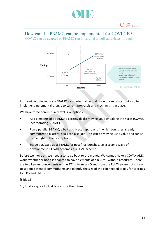

# How can the BBAMC can be implemented for COVID-19?

COVAX can be adapted or BBAMC run in parallel to pull candidates through



It is feasible to introduce a BBAMC for a potential second wave of candidates but also to implement incremental change to current proposals and mechanisms in place.

We have three non-mutually exclusive options

- Add elements of BB AMC to existing deals; moving you right along the X axis (COVAX incorporating BBAMC)
- Run a parallel BBAMC, a belt and braces approach, in which countries already committed to bilateral deals can also join. This can be moving us to value and can sit to the right of the first option.
- Scope out/scale up a BBAMC for post first launches, i.e. a second wave of development. COVAX becomes a BBAMC scheme.

Before we move on, we need also to go back to the money. We cannot make a COVAX AMC work, whether or not it is adapted to have elements of a BBAMC without resources. There are two key announcements on the 27<sup>th</sup> - from WHO and from the EU. They are both likely to set out potential commitments and identify the size of the gap needed to pay for vaccines for LICs and LMICs.

[Slide 33]

So, finally a quick look at lessons for the future